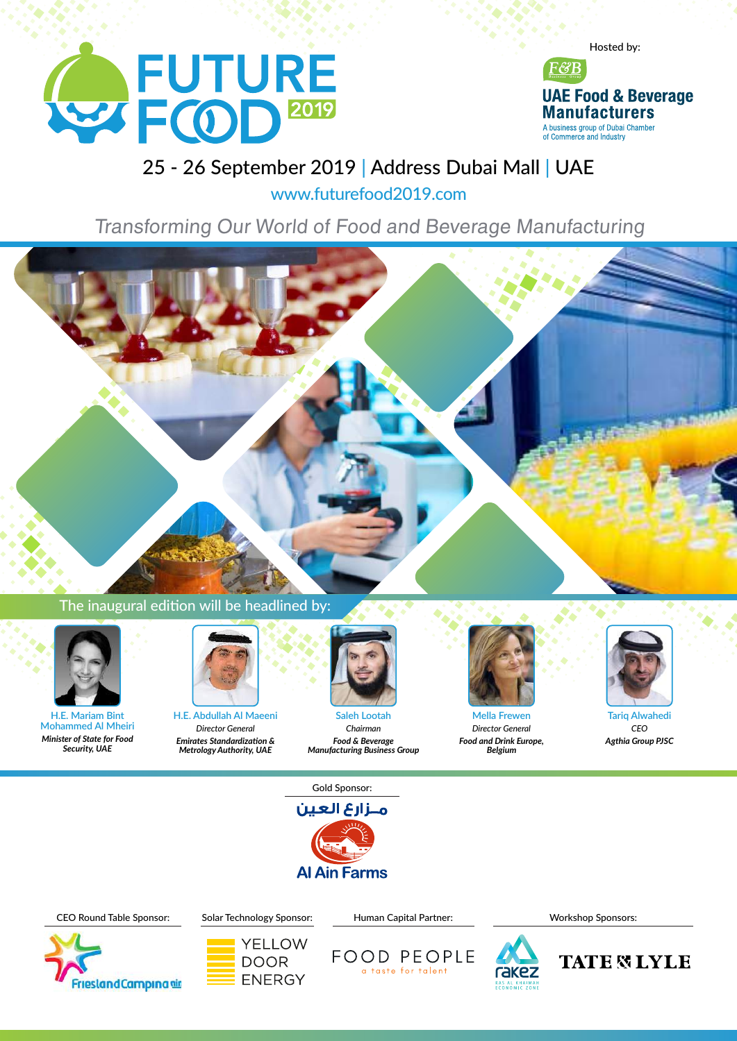



#### 25 - 26 September 2019 | Address Dubai Mall | UAE

www.futurefood2019.com

Transforming Our World of Food and Beverage Manufacturing



#### The inaugural edition will be headlined by:



**H.E. Mariam Bint Mohammed Al Mheiri** *Minister of State for Food Security, UAE*



**H.E. Abdullah Al Maeeni** *Director General Emirates Standardization & MetrologyAuthority, UAE*



**Saleh Lootah** *Chairman Food & Beverage Manufacturing Business Group*



**Mella Frewen** *Director General Food and Drink Europe, Belgium*



**Tariq Alwahedi** *CEO Agthia Group PJSC*

Gold Sponsor:







YELLOW **DOOR** 

**ENERGY** 



Workshop Sponsors:

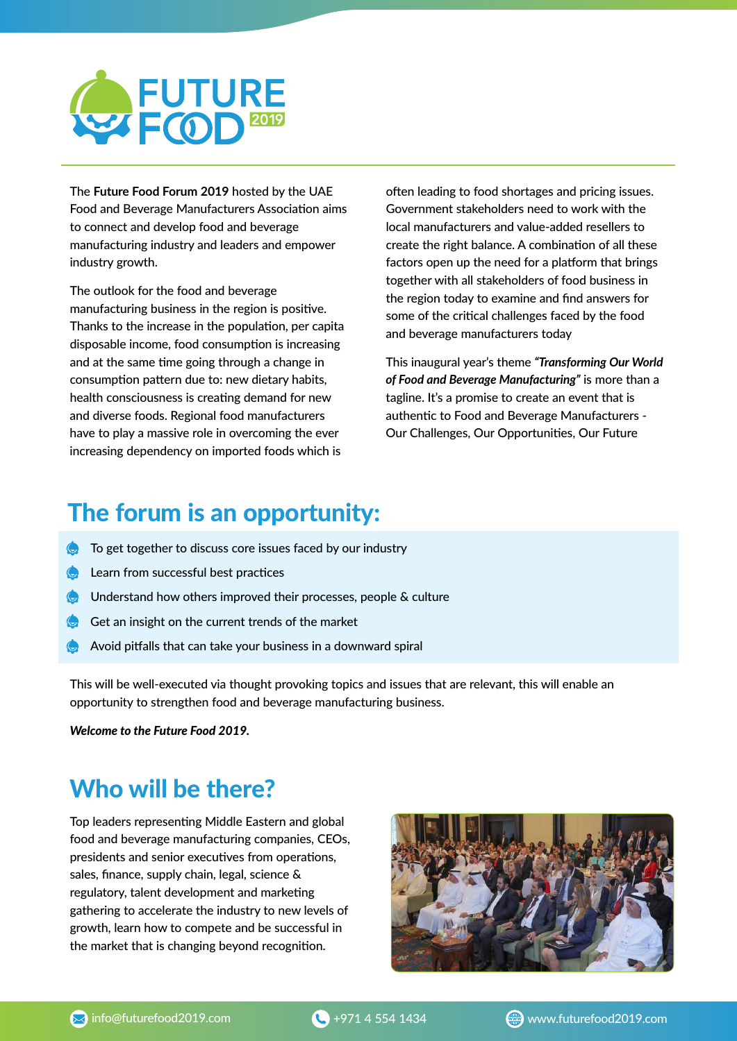

The **Future Food Forum 2019** hosted by the UAE Food and Beverage Manufacturers Association aims to connect and develop food and beverage manufacturing industry and leaders and empower industry growth.

The outlook for the food and beverage manufacturing business in the region is positive. Thanks to the increase in the population, per capita disposable income, food consumption is increasing and at the same time going through a change in consumption pattern due to: new dietary habits, health consciousness is creating demand for new and diverse foods. Regional food manufacturers have to play a massive role in overcoming the ever increasing dependency on imported foods which is

often leading to food shortages and pricing issues. Government stakeholders need to work with the local manufacturers and value-added resellers to create the right balance. A combination of all these factors open up the need for a platform that brings together with all stakeholders of food business in the region today to examine and find answers for some of the critical challenges faced by the food and beverage manufacturers today

This inaugural year's theme *"Transforming Our World of Food and Beverage Manufacturing"* is more than a tagline. It's a promise to create an event that is authentic to Food and Beverage Manufacturers -Our Challenges, Our Opportunities, Our Future

## The forum is an opportunity:

- $\bullet$  To get together to discuss core issues faced by our industry
- $\bullet$  Learn from successful best practices
- Understand how others improved their processes, people & culture
- Get an insight on the current trends of the market
- Avoid pitfalls that can take your business in a downward spiral

This will be well-executed via thought provoking topics and issues that are relevant, this will enable an opportunity to strengthen food and beverage manufacturing business.

*Welcome to the Future Food 2019.*

## Who will be there?

Top leaders representing Middle Eastern and global food and beverage manufacturing companies, CEOs, presidents and senior executives from operations, sales, finance, supply chain, legal, science & regulatory, talent development and marketing gathering to accelerate the industry to new levels of growth, learn how to compete and be successful in the market that is changing beyond recognition.

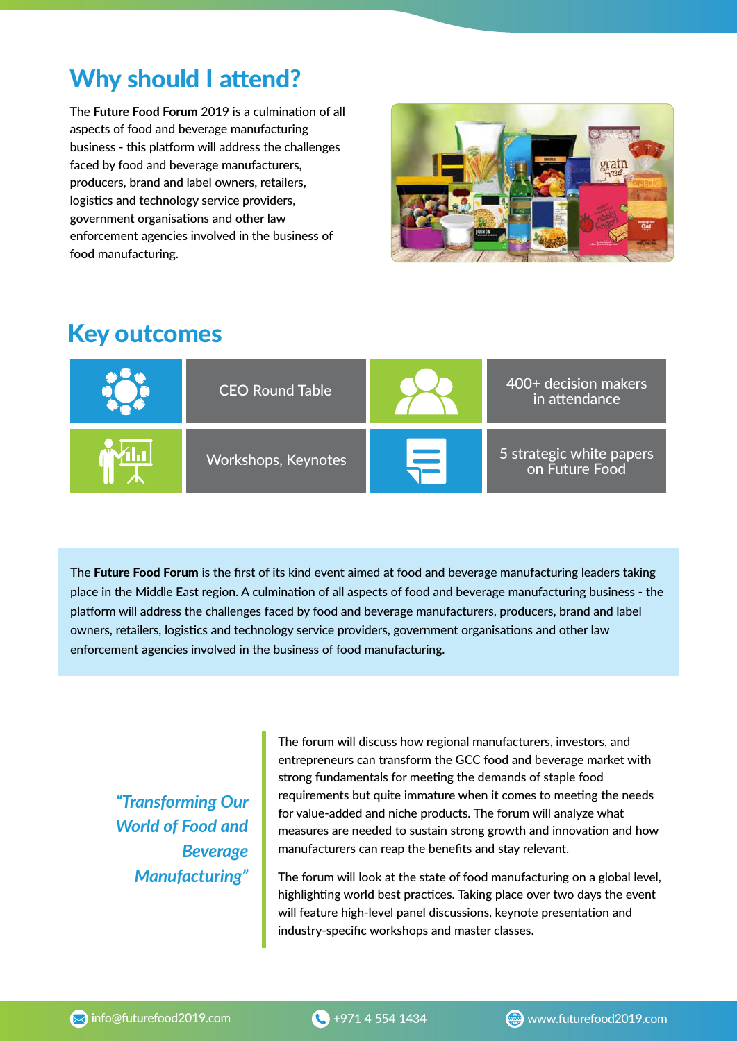## Why should I attend?

The **Future Food Forum** 2019 is a culmination of all aspects of food and beverage manufacturing business - this platform will address the challenges faced by food and beverage manufacturers, producers, brand and label owners, retailers, logistics and technology service providers, government organisations and other law enforcement agencies involved in the business of food manufacturing.



## Key outcomes

| <b>CEO Round Table</b> | 400+ decision makers<br>in attendance      |
|------------------------|--------------------------------------------|
| Workshops, Keynotes    | 5 strategic white papers<br>on Future Food |

The Future Food Forum is the first of its kind event aimed at food and beverage manufacturing leaders taking place in the Middle East region. A culmination of all aspects of food and beverage manufacturing business - the platform will address the challenges faced by food and beverage manufacturers, producers, brand and label owners, retailers, logistics and technology service providers, government organisations and other law enforcement agencies involved in the business of food manufacturing.

*"Transforming Our World of Food and Beverage Manufacturing"*

The forum will discuss how regional manufacturers, investors, and entrepreneurs can transform the GCC food and beverage market with strong fundamentals for meeting the demands of staple food requirements but quite immature when it comes to meeting the needs for value-added and niche products. The forum will analyze what measures are needed to sustain strong growth and innovation and how manufacturers can reap the benefits and stay relevant.

The forum will look at the state of food manufacturing on a global level, highlighting world best practices. Taking place over two days the event will feature high-level panel discussions, keynote presentation and industry-specific workshops and master classes.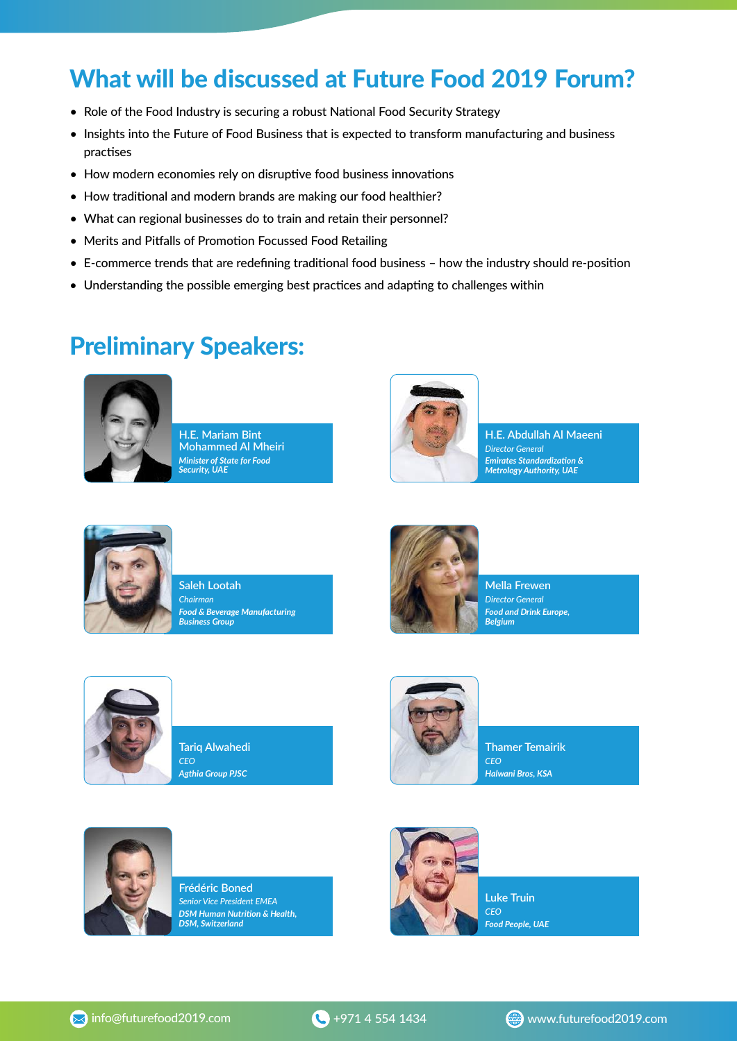## What will be discussed at Future Food 2019 Forum?

- Role of the Food Industry is securing a robust National Food Security Strategy
- Insights into the Future of Food Business that is expected to transform manufacturing and business practises
- How modern economies rely on disruptive food business innovations
- How traditional and modern brands are making our food healthier?
- What can regional businesses do to train and retain their personnel?
- Merits and Pitfalls of Promotion Focussed Food Retailing
- E-commerce trends that are redefining traditional food business how the industry should re-position
- Understanding the possible emerging best practices and adapting to challenges within

#### Preliminary Speakers:



**H.E. Mariam Bint Mohammed Al Mheiri** *Minister of State for Food Security, UAE*



**H.E. Abdullah Al Maeeni** *Director General Emirates Standardization &*<br>*Metrology Authority, UAE* 



**Saleh Lootah** *Chairman Food & Beverage Manufacturing Business Group*



**Mella Frewen** *Director General Food and Drink Europe, Belgium*



**Tariq Alwahedi** *CEO Agthia Group PJSC*



**Thamer Temairik** *CEO Halwani Bros, KSA*



**Frédéric Boned** *Senior Vice President EMEA DSM Human Nutrion & Health, DSM, Switzerland*



**Luke Truin** *CEO Food People, UAE*

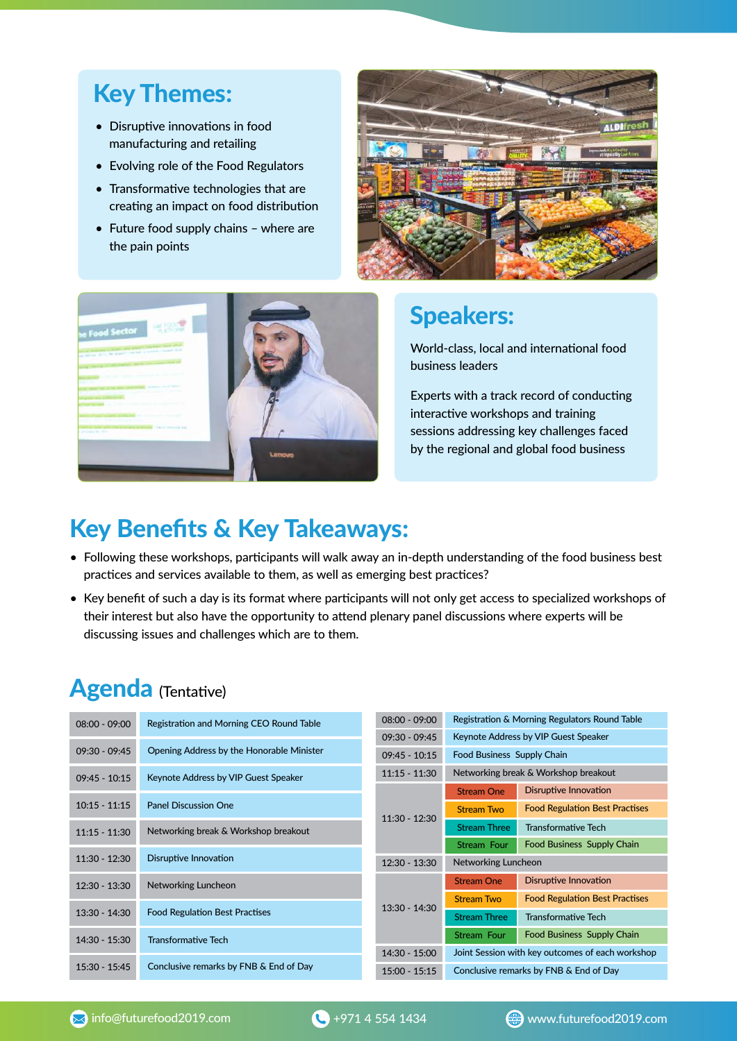## Key Themes:

- Disruptive innovations in food manufacturing and retailing
- Evolving role of the Food Regulators
- $\bullet$  Transformative technologies that are creating an impact on food distribution
- Future food supply chains where are the pain points





#### Speakers:

World-class, local and international food business leaders

Experts with a track record of conducting interactive workshops and training sessions addressing key challenges faced by the regional and global food business

## Key Benefits & Key Takeaways:

- Following these workshops, participants will walk away an in-depth understanding of the food business best practices and services available to them, as well as emerging best practices?
- Key benefit of such a day is its format where participants will not only get access to specialized workshops of their interest but also have the opportunity to attend plenary panel discussions where experts will be discussing issues and challenges which are to them.

#### Agenda (Tentative)

| $08:00 - 09:00$ | Registration and Morning CEO Round Table  |                 | Registration & Morning Regulators Round Table    |                                       |
|-----------------|-------------------------------------------|-----------------|--------------------------------------------------|---------------------------------------|
|                 |                                           |                 | Keynote Address by VIP Guest Speaker             |                                       |
| $09:30 - 09:45$ | Opening Address by the Honorable Minister | $09:45 - 10:15$ | Food Business Supply Chain                       |                                       |
| $09:45 - 10:15$ | Keynote Address by VIP Guest Speaker      | $11:15 - 11:30$ | Networking break & Workshop breakout             |                                       |
|                 |                                           | $11:30 - 12:30$ | <b>Stream One</b>                                | <b>Disruptive Innovation</b>          |
| $10:15 - 11:15$ | <b>Panel Discussion One</b>               |                 | <b>Stream Two</b>                                | <b>Food Regulation Best Practises</b> |
| $11:15 - 11:30$ | Networking break & Workshop breakout      |                 | <b>Stream Three</b>                              | <b>Transformative Tech</b>            |
|                 |                                           |                 | Stream Four                                      | Food Business Supply Chain            |
| $11:30 - 12:30$ | <b>Disruptive Innovation</b>              | $12:30 - 13:30$ | Networking Luncheon                              |                                       |
| 12:30 - 13:30   | Networking Luncheon                       |                 | <b>Stream One</b>                                | <b>Disruptive Innovation</b>          |
|                 |                                           | $13:30 - 14:30$ | <b>Stream Two</b>                                | <b>Food Regulation Best Practises</b> |
| $13:30 - 14:30$ | <b>Food Regulation Best Practises</b>     |                 | <b>Stream Three</b>                              | <b>Transformative Tech</b>            |
| 14:30 - 15:30   | <b>Transformative Tech</b>                |                 | Stream Four                                      | Food Business Supply Chain            |
|                 |                                           | 14:30 - 15:00   | Joint Session with key outcomes of each workshop |                                       |
| $15:30 - 15:45$ | Conclusive remarks by FNB & End of Day    | $15:00 - 15:15$ | Conclusive remarks by FNB & End of Day           |                                       |